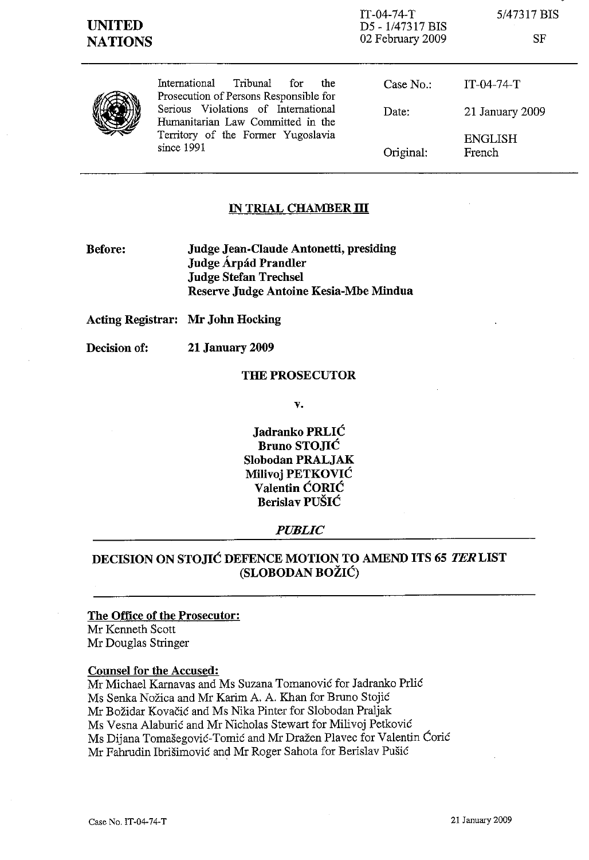IT-04-74-T D5 - 1/47317 BIS 02 February 2009

5/47317 BIS

SF



International Tribunal for the Prosecution of Persons Responsible for Serious Violations of International Humanitarian Law Committed in the Territory of the Former Yugoslavia since 1991

| Date:    | 21 January 2009<br><b>ENGLISH</b> |
|----------|-----------------------------------|
| Case No. | $IT-04-74-T$                      |

## **IN TRIAL CHAMBER III**

**Before: Judge Jean-Claude Antonetti, presiding Judge** Arpad **Prandler Judge Stefan Trechsel Reserve Judge Antoine** Kesia-Mbe **Mindua**

**Acting Registrar: Mr John Hocking**

**Decision of: 21 January 2009**

### **THE PROSECUTOR**

**v.**

**Jadranko PRLIC Bruno STOJIC Siobodan PRALJAK Milivoj PETKOVIC Valentin CORIC Berislav PUSIC**

### *PUBLIC*

# **DECISION ON STOJIC DEFENCE MOTION TO AMEND ITS 65 TERLIST (SLOBODAN BOZIC)**

### **The Office of the Prosecutor:**

Mr Kenneth Scott Mr Douglas Stringer

### **Counsel for the Accused:**

Mr Michael Karnavas and Ms Suzana Tomanovic for Jadranko Prlic Ms Senka Nozica and Mr Karim A. A. Khan for Bruno Stojic Mr Bozidar Kovacic and Ms Nika Pinter for Siobodan Praljak Ms Vesna Alaburić and Mr Nicholas Stewart for Milivoj Petković Ms Dijana Tomašegović-Tomić and Mr Dražen Plavec for Valentin Ćorić Mr Fahrudin Ibrisimovic and Mr Roger Sahota for Beris1av Pusic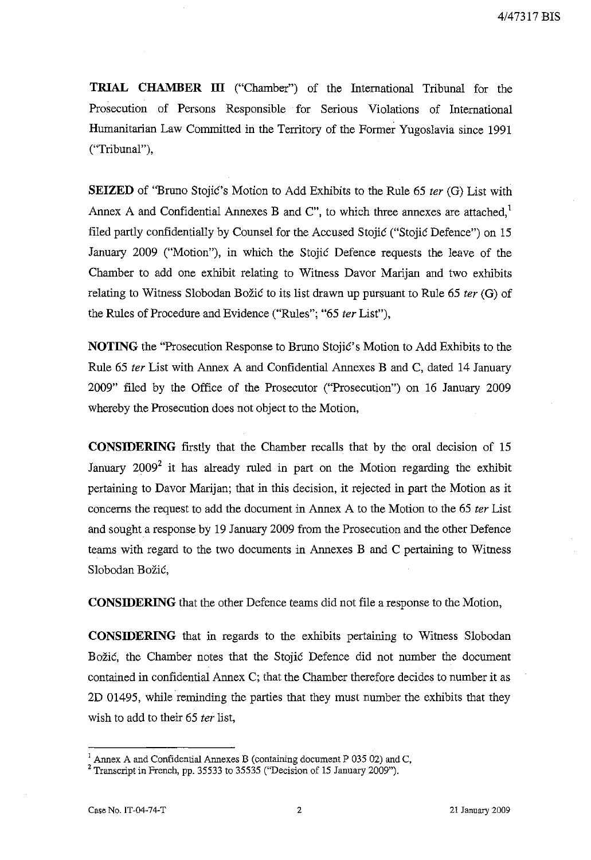**TRIAL CHAMBER ITI** ("Chamber") of the International Tribunal for the Prosecution of Persons Responsible for Serious Violations of International Humanitarian Law Committed in the Territory of the Former Yugoslavia since 1991 ("Tribunal"),

**SEIZED** of "Bruno Stojic's Motion to Add Exhibits to the Rule 65 *ter* (G) List with Annex A and Confidential Annexes B and C", to which three annexes are attached,<sup>1</sup> filed partly confidentially by Counsel for the Accused Stojic ("Stojic Defence") on 15 January 2009 ("Motion"), in which the Stojic Defence requests the leave of the Chamber to add one exhibit relating to Witness Davor Marijan and two exhibits relating to Witness Slobodan Bozic to its list drawn up pursuant to Rule 65 *ter* (G) of the Rules of Procedure and Evidence ("Rules"; "65 *ter* List"),

**NOTING** the "Prosecution Response to Bruno Stojic's Motion to Add Exhibits to the Rule 65 *ter* List with Annex A and Confidential Annexes B and C, dated 14 January 2009" filed by the Office of the Prosecutor ("Prosecution") on 16 January 2009 Whereby the Prosecution does not object to the Motion,

**CONSIDERING** firstly that the Chamber recalls that by the oral decision of 15 January  $2009^2$  it has already ruled in part on the Motion regarding the exhibit pertaining to Davor Marijan; that in this decision, it rejected in part the Motion as it concerns the request to add the document in Annex A to the Motion to the 65 *ter* List and sought a response by 19 January 2009 from the Prosecution and the other Defence teams with regard to the two documents in Annexes B and C pertaining to Witness Slobodan Božić,

**CONSIDERING** that the other Defence teams did not file a response to the Motion,

**CONSIDERING** that in regards to the exhibits pertaining to Witness Slobodan Bozic, the Chamber notes that the Stojic Defence did not number the document contained in confidential Annex C; that the Chamber therefore decides to number it as 2D 01495, while reminding the parties that they must number the exhibits that they wish to add to their 65 *ter* list,

 $<sup>1</sup>$  Annex A and Confidential Annexes B (containing document P 035 02) and C,</sup>

 $2$  Transcript in French, pp. 35533 to 35535 ("Decision of 15 January 2009").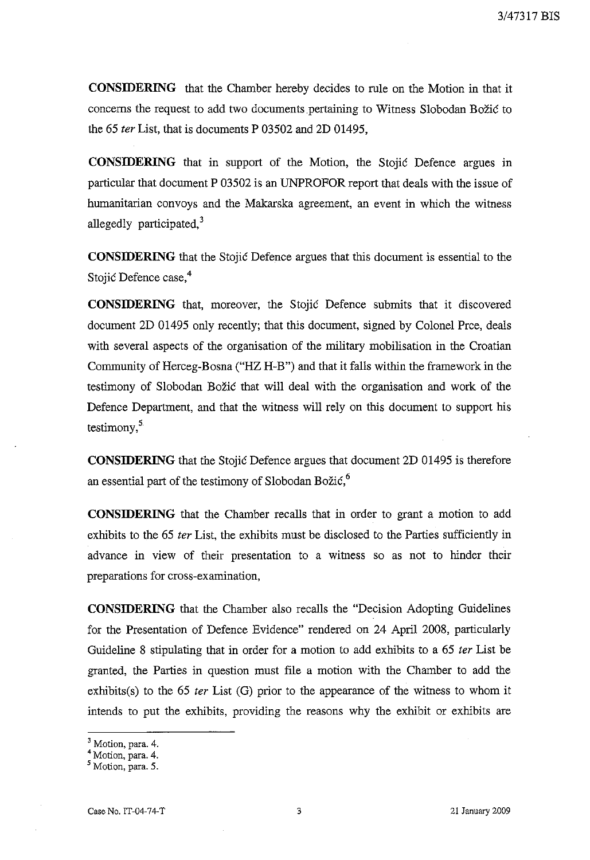**CONSIDERING** that the Chamber hereby decides to rule on the Motion in that it concerns the request to add two documents pertaining to Witness Slobodan Bozic to the 65 fer List, that is documents P 03502 and 2D 01495,

**CONSIDERING** that in support of the Motion, the Stojic Defence argues in particular that document P 03502 is an UNPROFOR report that deals with the issue of humanitarian convoys and the Makarska agreement, an event in which the witness allegedly participated.<sup>3</sup>

**CONSIDERING** that the Stojic Defence argues that this document is essential to the Stojić Defence case,<sup>4</sup>

**CONSIDERING** that, moreover, the Stojic Defence submits that it discovered document 2D 01495 only recently; that this document, signed by Colonel Prce, deals with several aspects of the organisation of the military mobilisation in the Croatian Community of Herceg-Bosna ("HZ H-B") and that it falls within the framework in the testimony of Slobodan Bozic that will deal with the organisation and work of the Defence Department, and that the witness will rely on this document to support his testimony, $5$ 

**CONSIDERING** that the Stojic Defence argues that document 2D 01495 is therefore an essential part of the testimony of Slobodan Božić, $6<sup>6</sup>$ 

**CONSIDERING** that the Chamber recalls that in order to grant a motion to add exhibits to the 65 fer List, the exhibits must be disclosed to the Parties sufficiently in advance in view of their presentation to a witness so as not to hinder their preparations for cross-examination,

**CONSIDERING** that the Chamber also recalls the "Decision Adopting Guidelines for the Presentation of Defence Evidence" rendered on 24 April 2008, particularly Guideline 8 stipulating that in order for a motion to add exhibits to a 65 ter List be granted, the Parties in question must file a motion with the Chamber to add the exhibits(s) to the  $65$  *ter* List (G) prior to the appearance of the witness to whom it intends to put the exhibits, providing the reasons why the exhibit or exhibits are

<sup>&</sup>lt;sup>3</sup> Motion, para. 4.

<sup>4</sup> Motion, para. 4.

<sup>5</sup> Motion, para. 5.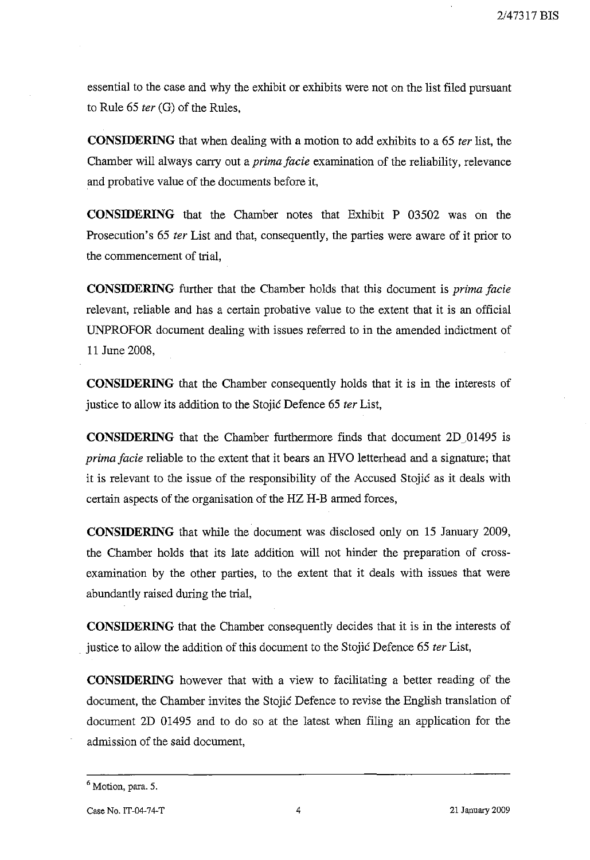essential to the case and why the exhibit or exhibits were not on the list filed pursuant to Rule 65 *ter* (G) of the Rules,

**CONSIDERING** that when dealing with a motion to add exhibits to a 65 *ter* list, the Chamber will always carry out a *prima facie* examination of the reliability, relevance and probative value of the documents before it,

**CONSIDERING** that the Chamber notes that Exhibit P 03502 was on the Prosecution's 65 *ter* List and that, consequently, the parties were aware of it prior to the commencement of trial,

**CONSIDERING** further that the Chamber holds that this document is *prima facie* relevant, reliable and has a certain probative value to the extent that it is an official UNPROFOR document dealing with issues referred to in the amended indictment of 11 June 2008,

**CONSIDERING** that the Chamber consequently holds that it is in the interests of justice to allow its addition to the Stojic Defence 65 *ter* List,

**CONSIDERING** that the Chamber furthermore finds that document 2D 01495 is *prima facie* reliable to the extent that it bears an HVO letterhead and a signature; that it is relevant to the issue of the responsibility of the Accused Stojic as it deals with certain aspects of the organisation of the HZ H-B armed forces,

**CONSIDERING** that while the document was disclosed only on 15 January 2009, the Chamber holds that its late addition will not hinder the preparation of crossexamination by the other parties, to the extent that it deals with issues that were abundantly raised during the trial,

**CONSIDERING** that the Chamber consequently decides that it is in the interests of justice to allow the addition of this document to the Stojic Defence 65 *ter* List,

**CONSIDERING** however that with a view to facilitating a better reading of the document, the Chamber invites the Stojic Defence to revise the English translation of document 2D 01495 and to do so at the latest when filing an application for the admission of the said document,

<sup>6</sup> Motion, para. 5.